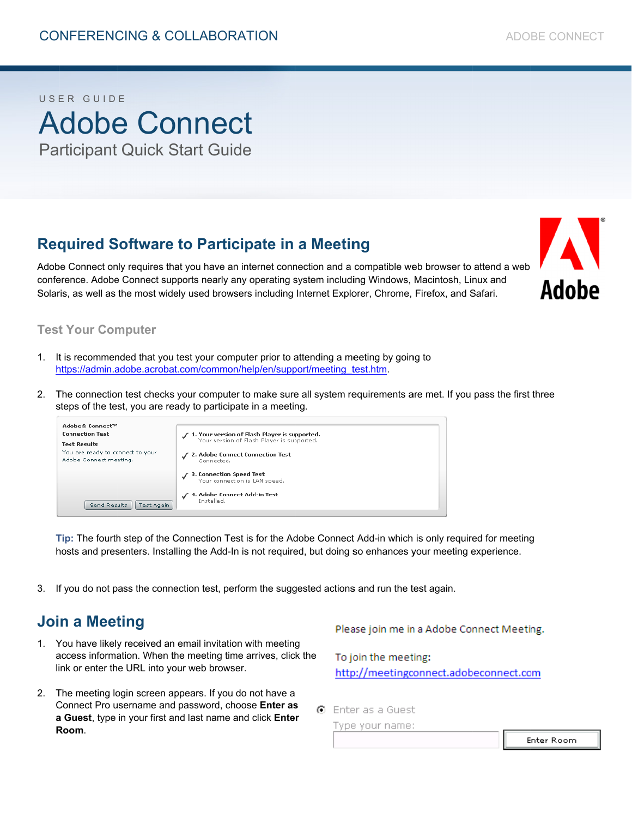# USER GUIDE **Adobe Connect Participant Quick Start Guide**

## **Required Software to Participate in a Meeting**

Adobe Connect only requires that you have an internet connection and a compatible web browser to attend a web conference. Adobe Connect supports nearly any operating system including Windows, Macintosh, Linux and Solaris, as well as the most widely used browsers including Internet Explorer, Chrome, Firefox, and Safari.



#### **Test Your Computer**

- It is recommended that you test your computer prior to attending a meeting by going to  $\mathbf{1}$ https://admin.adobe.acrobat.com/common/help/en/support/meeting\_test.htm.
- 2. The connection test checks your computer to make sure all system requirements are met. If you pass the first three steps of the test, you are ready to participate in a meeting.



Tip: The fourth step of the Connection Test is for the Adobe Connect Add-in which is only required for meeting hosts and presenters. Installing the Add-In is not required, but doing so enhances your meeting experience.

3. If you do not pass the connection test, perform the suggested actions and run the test again.

### **Join a Meeting**

- 1. You have likely received an email invitation with meeting access information. When the meeting time arrives, click the link or enter the URL into your web browser.
- 2. The meeting login screen appears. If you do not have a Connect Pro username and password, choose Enter as a Guest, type in your first and last name and click Enter Room.

Please join me in a Adobe Connect Meeting.

To join the meeting: http://meetingconnect.adobeconnect.com

C Enter as a Guest

Type your name:

**Enter Room**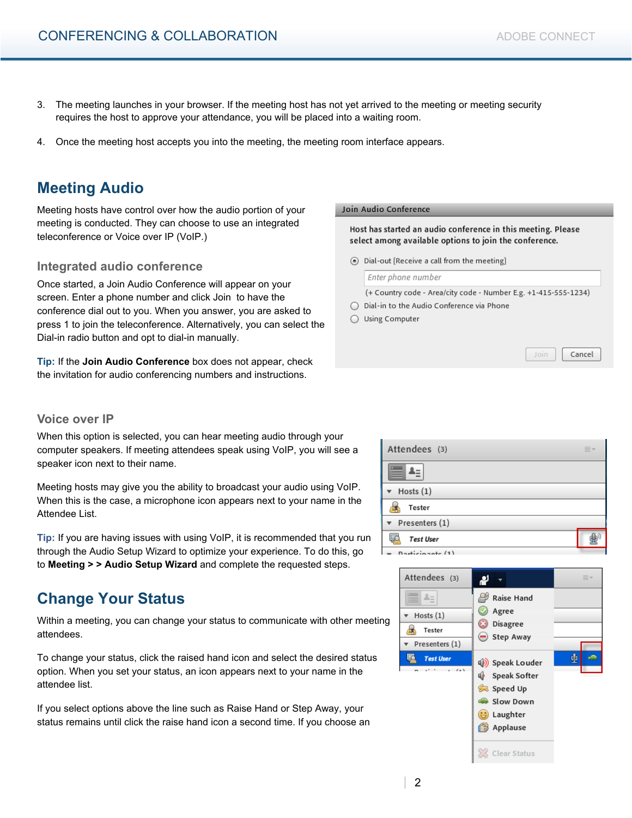Join

Cancel

- 3. The meeting launches in your browser. If the meeting host has not yet arrived to the meeting or meeting security requires the host to approve your attendance, you will be placed into a waiting room.
- 4. Once the meeting host accepts you into the meeting, the meeting room interface appears.

### **Meeting Audio**

Meeting hosts have control over how the audio portion of your meeting is conducted. They can choose to use an integrated teleconference or Voice over IP (VoIP.)

#### **Integrated audio conference**

Once started, a Join Audio Conference will appear on your screen. Enter a phone number and click Join to have the conference dial out to you. When you answer, you are asked to press 1 to join the teleconference. Alternatively, you can select the Dial-in radio button and opt to dial-in manually.

**Tip:** If the **Join Audio Conference** box does not appear, check the invitation for audio conferencing numbers and instructions.

#### Join Audio Conference

Host has started an audio conference in this meeting. Please select among available options to join the conference.

⊙ Dial-out [Receive a call from the meeting]

Enter phone number

(+ Country code - Area/city code - Number E.g. +1-415-555-1234)

- ◯ Dial-in to the Audio Conference via Phone
- ◯ Using Computer

#### **Voice over IP**

When this option is selected, you can hear meeting audio through your computer speakers. If meeting attendees speak using VoIP, you will see a speaker icon next to their name.

Meeting hosts may give you the ability to broadcast your audio using VoIP. When this is the case, a microphone icon appears next to your name in the Attendee List.

**Tip:** If you are having issues with using VoIP, it is recommended that you run through the Audio Setup Wizard to optimize your experience. To do this, go to **Meeting > > Audio Setup Wizard** and complete the requested steps.

### **Change Your Status**

Within a meeting, you can change your status to communicate with other meeting attendees.

To change your status, click the raised hand icon and select the desired status option. When you set your status, an icon appears next to your name in the attendee list.

If you select options above the line such as Raise Hand or Step Away, your status remains until click the raise hand icon a second time. If you choose an

| Attendees (3)            | -<br>=-<br>= |
|--------------------------|--------------|
|                          |              |
| Hosts $(1)$              |              |
| Tester                   |              |
| $\mathbf$ Presenters (1) |              |
| <b>Test User</b>         |              |
| $D$ articipante (1)      |              |

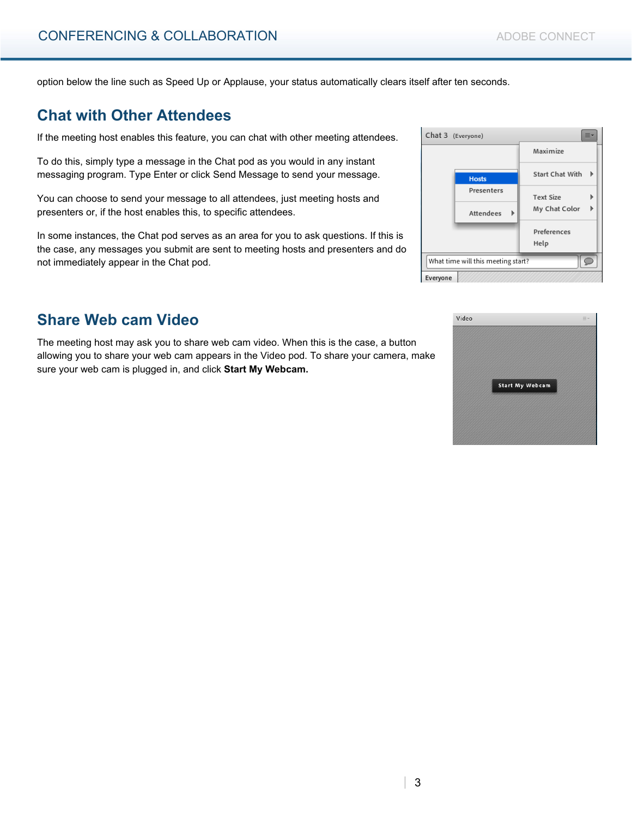option below the line such as Speed Up or Applause, your status automatically clears itself after ten seconds.

### **Chat with Other Attendees**

If the meeting host enables this feature, you can chat with other meeting attendees.

To do this, simply type a message in the Chat pod as you would in any instant messaging program. Type Enter or click Send Message to send your message.

You can choose to send your message to all attendees, just meeting hosts and presenters or, if the host enables this, to specific attendees.

In some instances, the Chat pod serves as an area for you to ask questions. If this is the case, any messages you submit are sent to meeting hosts and presenters and do not immediately appear in the Chat pod.

### **Share Web cam Video**

The meeting host may ask you to share web cam video. When this is the case, a button allowing you to share your web cam appears in the Video pod. To share your camera, make sure your web cam is plugged in, and click **Start My Webcam.**

| Chat 3 (Everyone)                  |              | Ξ×                     |
|------------------------------------|--------------|------------------------|
|                                    |              | Maximize               |
|                                    | <b>Hosts</b> | <b>Start Chat With</b> |
|                                    | Presenters   | <b>Text Size</b>       |
|                                    | Attendees    | My Chat Color          |
|                                    |              | Preferences            |
|                                    |              | Help                   |
| What time will this meeting start? |              |                        |
| Everyone                           |              |                        |

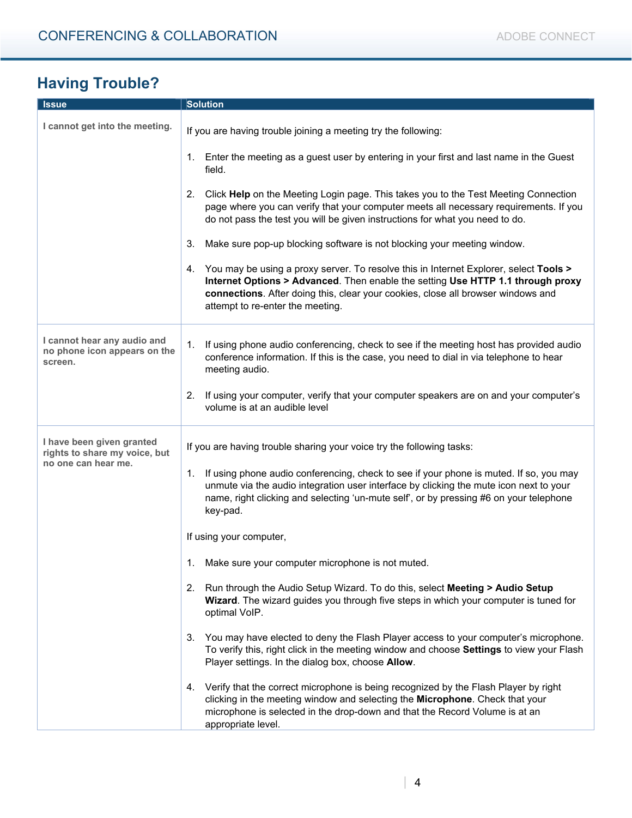# **Having Trouble?**

| <b>Issue</b>                                                           | <b>Solution</b>                                                                                                                                                                                                                                                                                        |  |
|------------------------------------------------------------------------|--------------------------------------------------------------------------------------------------------------------------------------------------------------------------------------------------------------------------------------------------------------------------------------------------------|--|
| I cannot get into the meeting.                                         | If you are having trouble joining a meeting try the following:                                                                                                                                                                                                                                         |  |
|                                                                        | 1. Enter the meeting as a guest user by entering in your first and last name in the Guest<br>field.                                                                                                                                                                                                    |  |
|                                                                        | 2.<br>Click Help on the Meeting Login page. This takes you to the Test Meeting Connection<br>page where you can verify that your computer meets all necessary requirements. If you<br>do not pass the test you will be given instructions for what you need to do.                                     |  |
|                                                                        | 3.<br>Make sure pop-up blocking software is not blocking your meeting window.                                                                                                                                                                                                                          |  |
|                                                                        | You may be using a proxy server. To resolve this in Internet Explorer, select Tools ><br>4.<br>Internet Options > Advanced. Then enable the setting Use HTTP 1.1 through proxy<br>connections. After doing this, clear your cookies, close all browser windows and<br>attempt to re-enter the meeting. |  |
| I cannot hear any audio and<br>no phone icon appears on the<br>screen. | If using phone audio conferencing, check to see if the meeting host has provided audio<br>1.<br>conference information. If this is the case, you need to dial in via telephone to hear<br>meeting audio.                                                                                               |  |
|                                                                        | If using your computer, verify that your computer speakers are on and your computer's<br>2.<br>volume is at an audible level                                                                                                                                                                           |  |
| I have been given granted<br>rights to share my voice, but             | If you are having trouble sharing your voice try the following tasks:                                                                                                                                                                                                                                  |  |
| no one can hear me.                                                    | If using phone audio conferencing, check to see if your phone is muted. If so, you may<br>1.<br>unmute via the audio integration user interface by clicking the mute icon next to your<br>name, right clicking and selecting 'un-mute self', or by pressing #6 on your telephone<br>key-pad.           |  |
|                                                                        | If using your computer,                                                                                                                                                                                                                                                                                |  |
|                                                                        | 1. Make sure your computer microphone is not muted.                                                                                                                                                                                                                                                    |  |
|                                                                        | Run through the Audio Setup Wizard. To do this, select Meeting > Audio Setup<br>2.<br>Wizard. The wizard guides you through five steps in which your computer is tuned for<br>optimal VoIP.                                                                                                            |  |
|                                                                        | You may have elected to deny the Flash Player access to your computer's microphone.<br>3.<br>To verify this, right click in the meeting window and choose Settings to view your Flash<br>Player settings. In the dialog box, choose Allow.                                                             |  |
|                                                                        | Verify that the correct microphone is being recognized by the Flash Player by right<br>4.<br>clicking in the meeting window and selecting the Microphone. Check that your<br>microphone is selected in the drop-down and that the Record Volume is at an<br>appropriate level.                         |  |